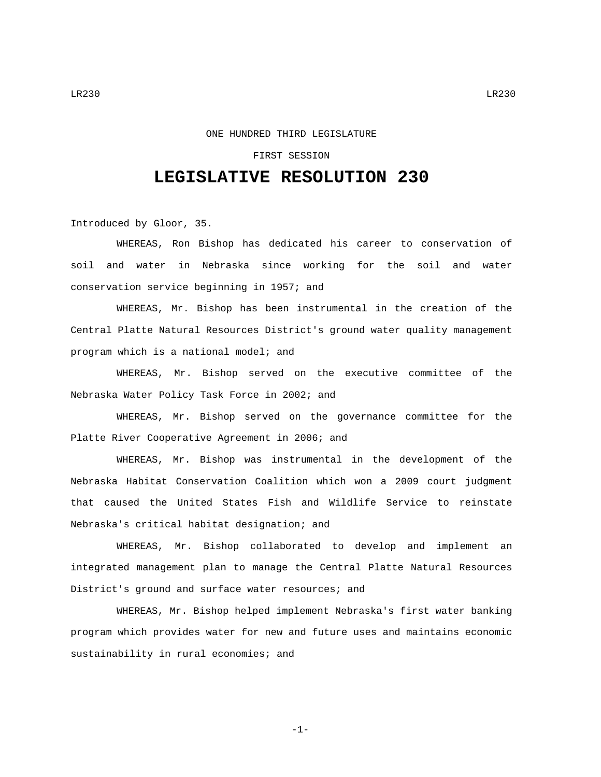## ONE HUNDRED THIRD LEGISLATURE

## FIRST SESSION

## **LEGISLATIVE RESOLUTION 230**

Introduced by Gloor, 35.

WHEREAS, Ron Bishop has dedicated his career to conservation of soil and water in Nebraska since working for the soil and water conservation service beginning in 1957; and

WHEREAS, Mr. Bishop has been instrumental in the creation of the Central Platte Natural Resources District's ground water quality management program which is a national model; and

WHEREAS, Mr. Bishop served on the executive committee of the Nebraska Water Policy Task Force in 2002; and

WHEREAS, Mr. Bishop served on the governance committee for the Platte River Cooperative Agreement in 2006; and

WHEREAS, Mr. Bishop was instrumental in the development of the Nebraska Habitat Conservation Coalition which won a 2009 court judgment that caused the United States Fish and Wildlife Service to reinstate Nebraska's critical habitat designation; and

WHEREAS, Mr. Bishop collaborated to develop and implement an integrated management plan to manage the Central Platte Natural Resources District's ground and surface water resources; and

WHEREAS, Mr. Bishop helped implement Nebraska's first water banking program which provides water for new and future uses and maintains economic sustainability in rural economies; and

-1-